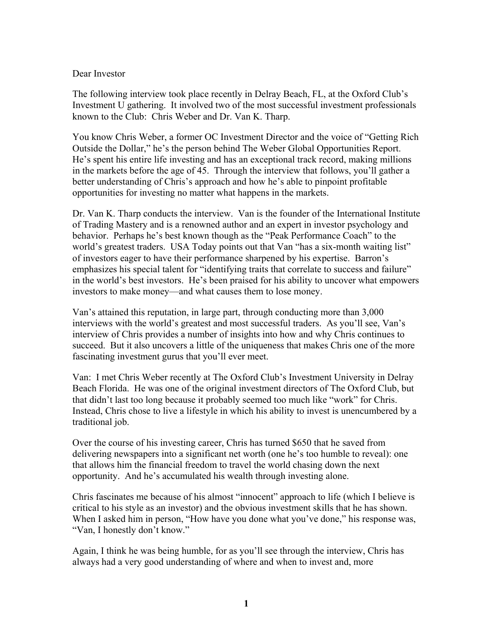## Dear Investor

The following interview took place recently in Delray Beach, FL, at the Oxford Club's Investment U gathering. It involved two of the most successful investment professionals known to the Club: Chris Weber and Dr. Van K. Tharp.

You know Chris Weber, a former OC Investment Director and the voice of "Getting Rich Outside the Dollar," he's the person behind The Weber Global Opportunities Report. He's spent his entire life investing and has an exceptional track record, making millions in the markets before the age of 45. Through the interview that follows, you'll gather a better understanding of Chris's approach and how he's able to pinpoint profitable opportunities for investing no matter what happens in the markets.

Dr. Van K. Tharp conducts the interview. Van is the founder of the International Institute of Trading Mastery and is a renowned author and an expert in investor psychology and behavior. Perhaps he's best known though as the "Peak Performance Coach" to the world's greatest traders. USA Today points out that Van "has a six-month waiting list" of investors eager to have their performance sharpened by his expertise. Barron's emphasizes his special talent for "identifying traits that correlate to success and failure" in the world's best investors. He's been praised for his ability to uncover what empowers investors to make money—and what causes them to lose money.

Van's attained this reputation, in large part, through conducting more than 3,000 interviews with the world's greatest and most successful traders. As you'll see, Van's interview of Chris provides a number of insights into how and why Chris continues to succeed. But it also uncovers a little of the uniqueness that makes Chris one of the more fascinating investment gurus that you'll ever meet.

Van: I met Chris Weber recently at The Oxford Club's Investment University in Delray Beach Florida. He was one of the original investment directors of The Oxford Club, but that didn't last too long because it probably seemed too much like "work" for Chris. Instead, Chris chose to live a lifestyle in which his ability to invest is unencumbered by a traditional job.

Over the course of his investing career, Chris has turned \$650 that he saved from delivering newspapers into a significant net worth (one he's too humble to reveal): one that allows him the financial freedom to travel the world chasing down the next opportunity. And he's accumulated his wealth through investing alone.

Chris fascinates me because of his almost "innocent" approach to life (which I believe is critical to his style as an investor) and the obvious investment skills that he has shown. When I asked him in person, "How have you done what you've done," his response was, "Van, I honestly don't know."

Again, I think he was being humble, for as you'll see through the interview, Chris has always had a very good understanding of where and when to invest and, more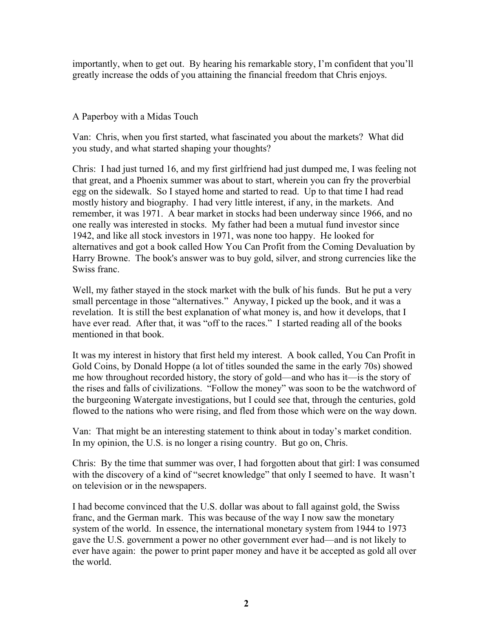importantly, when to get out. By hearing his remarkable story, I'm confident that you'll greatly increase the odds of you attaining the financial freedom that Chris enjoys.

## A Paperboy with a Midas Touch

Van: Chris, when you first started, what fascinated you about the markets? What did you study, and what started shaping your thoughts?

Chris: I had just turned 16, and my first girlfriend had just dumped me, I was feeling not that great, and a Phoenix summer was about to start, wherein you can fry the proverbial egg on the sidewalk. So I stayed home and started to read. Up to that time I had read mostly history and biography. I had very little interest, if any, in the markets. And remember, it was 1971. A bear market in stocks had been underway since 1966, and no one really was interested in stocks. My father had been a mutual fund investor since 1942, and like all stock investors in 1971, was none too happy. He looked for alternatives and got a book called How You Can Profit from the Coming Devaluation by Harry Browne. The book's answer was to buy gold, silver, and strong currencies like the Swiss franc.

Well, my father stayed in the stock market with the bulk of his funds. But he put a very small percentage in those "alternatives." Anyway, I picked up the book, and it was a revelation. It is still the best explanation of what money is, and how it develops, that I have ever read. After that, it was "off to the races." I started reading all of the books mentioned in that book.

It was my interest in history that first held my interest. A book called, You Can Profit in Gold Coins, by Donald Hoppe (a lot of titles sounded the same in the early 70s) showed me how throughout recorded history, the story of gold—and who has it—is the story of the rises and falls of civilizations. "Follow the money" was soon to be the watchword of the burgeoning Watergate investigations, but I could see that, through the centuries, gold flowed to the nations who were rising, and fled from those which were on the way down.

Van: That might be an interesting statement to think about in today's market condition. In my opinion, the U.S. is no longer a rising country. But go on, Chris.

Chris: By the time that summer was over, I had forgotten about that girl: I was consumed with the discovery of a kind of "secret knowledge" that only I seemed to have. It wasn't on television or in the newspapers.

I had become convinced that the U.S. dollar was about to fall against gold, the Swiss franc, and the German mark. This was because of the way I now saw the monetary system of the world. In essence, the international monetary system from 1944 to 1973 gave the U.S. government a power no other government ever had—and is not likely to ever have again: the power to print paper money and have it be accepted as gold all over the world.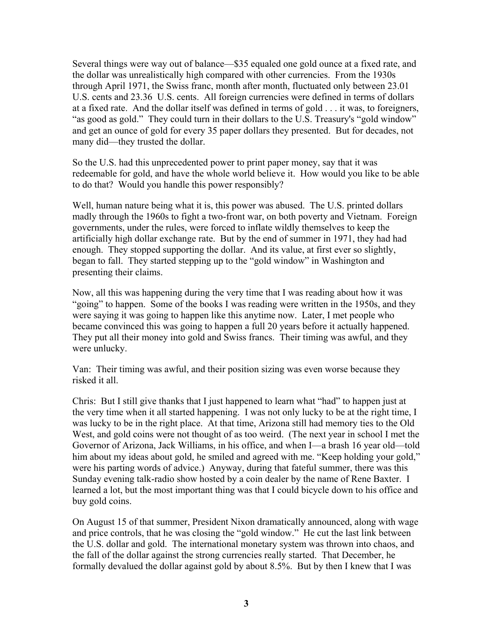Several things were way out of balance—\$35 equaled one gold ounce at a fixed rate, and the dollar was unrealistically high compared with other currencies. From the 1930s through April 1971, the Swiss franc, month after month, fluctuated only between 23.01 U.S. cents and 23.36 U.S. cents. All foreign currencies were defined in terms of dollars at a fixed rate. And the dollar itself was defined in terms of gold . . . it was, to foreigners, "as good as gold." They could turn in their dollars to the U.S. Treasury's "gold window" and get an ounce of gold for every 35 paper dollars they presented. But for decades, not many did—they trusted the dollar.

So the U.S. had this unprecedented power to print paper money, say that it was redeemable for gold, and have the whole world believe it. How would you like to be able to do that? Would you handle this power responsibly?

Well, human nature being what it is, this power was abused. The U.S. printed dollars madly through the 1960s to fight a two-front war, on both poverty and Vietnam. Foreign governments, under the rules, were forced to inflate wildly themselves to keep the artificially high dollar exchange rate. But by the end of summer in 1971, they had had enough. They stopped supporting the dollar. And its value, at first ever so slightly, began to fall. They started stepping up to the "gold window" in Washington and presenting their claims.

Now, all this was happening during the very time that I was reading about how it was "going" to happen. Some of the books I was reading were written in the 1950s, and they were saying it was going to happen like this anytime now. Later, I met people who became convinced this was going to happen a full 20 years before it actually happened. They put all their money into gold and Swiss francs. Their timing was awful, and they were unlucky.

Van: Their timing was awful, and their position sizing was even worse because they risked it all.

Chris: But I still give thanks that I just happened to learn what "had" to happen just at the very time when it all started happening. I was not only lucky to be at the right time, I was lucky to be in the right place. At that time, Arizona still had memory ties to the Old West, and gold coins were not thought of as too weird. (The next year in school I met the Governor of Arizona, Jack Williams, in his office, and when I—a brash 16 year old—told him about my ideas about gold, he smiled and agreed with me. "Keep holding your gold," were his parting words of advice.) Anyway, during that fateful summer, there was this Sunday evening talk-radio show hosted by a coin dealer by the name of Rene Baxter. I learned a lot, but the most important thing was that I could bicycle down to his office and buy gold coins.

On August 15 of that summer, President Nixon dramatically announced, along with wage and price controls, that he was closing the "gold window." He cut the last link between the U.S. dollar and gold. The international monetary system was thrown into chaos, and the fall of the dollar against the strong currencies really started. That December, he formally devalued the dollar against gold by about 8.5%. But by then I knew that I was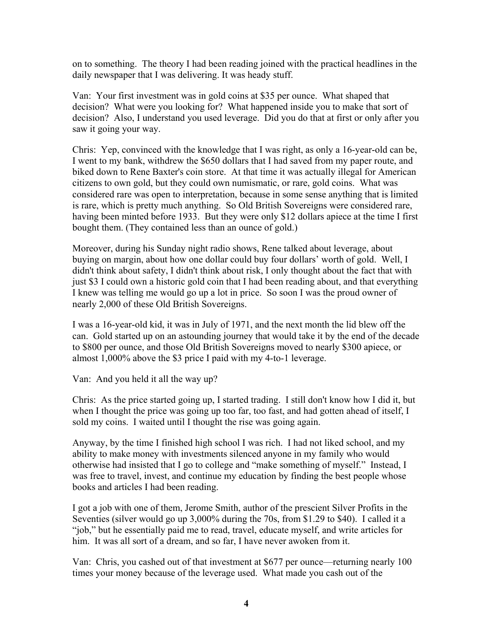on to something. The theory I had been reading joined with the practical headlines in the daily newspaper that I was delivering. It was heady stuff.

Van: Your first investment was in gold coins at \$35 per ounce. What shaped that decision? What were you looking for? What happened inside you to make that sort of decision? Also, I understand you used leverage. Did you do that at first or only after you saw it going your way.

Chris: Yep, convinced with the knowledge that I was right, as only a 16-year-old can be, I went to my bank, withdrew the \$650 dollars that I had saved from my paper route, and biked down to Rene Baxter's coin store. At that time it was actually illegal for American citizens to own gold, but they could own numismatic, or rare, gold coins. What was considered rare was open to interpretation, because in some sense anything that is limited is rare, which is pretty much anything. So Old British Sovereigns were considered rare, having been minted before 1933. But they were only \$12 dollars apiece at the time I first bought them. (They contained less than an ounce of gold.)

Moreover, during his Sunday night radio shows, Rene talked about leverage, about buying on margin, about how one dollar could buy four dollars' worth of gold. Well, I didn't think about safety, I didn't think about risk, I only thought about the fact that with just \$3 I could own a historic gold coin that I had been reading about, and that everything I knew was telling me would go up a lot in price. So soon I was the proud owner of nearly 2,000 of these Old British Sovereigns.

I was a 16-year-old kid, it was in July of 1971, and the next month the lid blew off the can. Gold started up on an astounding journey that would take it by the end of the decade to \$800 per ounce, and those Old British Sovereigns moved to nearly \$300 apiece, or almost 1,000% above the \$3 price I paid with my 4-to-1 leverage.

Van: And you held it all the way up?

Chris: As the price started going up, I started trading. I still don't know how I did it, but when I thought the price was going up too far, too fast, and had gotten ahead of itself, I sold my coins. I waited until I thought the rise was going again.

Anyway, by the time I finished high school I was rich. I had not liked school, and my ability to make money with investments silenced anyone in my family who would otherwise had insisted that I go to college and "make something of myself." Instead, I was free to travel, invest, and continue my education by finding the best people whose books and articles I had been reading.

I got a job with one of them, Jerome Smith, author of the prescient Silver Profits in the Seventies (silver would go up 3,000% during the 70s, from \$1.29 to \$40). I called it a "job," but he essentially paid me to read, travel, educate myself, and write articles for him. It was all sort of a dream, and so far, I have never awoken from it.

Van: Chris, you cashed out of that investment at \$677 per ounce—returning nearly 100 times your money because of the leverage used. What made you cash out of the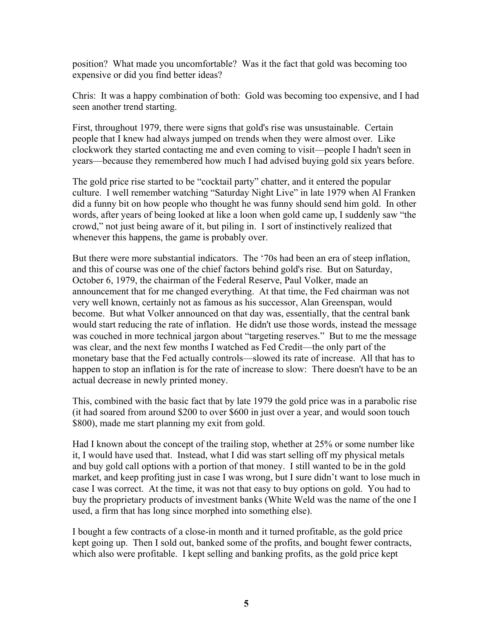position? What made you uncomfortable? Was it the fact that gold was becoming too expensive or did you find better ideas?

Chris: It was a happy combination of both: Gold was becoming too expensive, and I had seen another trend starting.

First, throughout 1979, there were signs that gold's rise was unsustainable. Certain people that I knew had always jumped on trends when they were almost over. Like clockwork they started contacting me and even coming to visit—people I hadn't seen in years—because they remembered how much I had advised buying gold six years before.

The gold price rise started to be "cocktail party" chatter, and it entered the popular culture. I well remember watching "Saturday Night Live" in late 1979 when Al Franken did a funny bit on how people who thought he was funny should send him gold. In other words, after years of being looked at like a loon when gold came up, I suddenly saw "the crowd," not just being aware of it, but piling in. I sort of instinctively realized that whenever this happens, the game is probably over.

But there were more substantial indicators. The '70s had been an era of steep inflation, and this of course was one of the chief factors behind gold's rise. But on Saturday, October 6, 1979, the chairman of the Federal Reserve, Paul Volker, made an announcement that for me changed everything. At that time, the Fed chairman was not very well known, certainly not as famous as his successor, Alan Greenspan, would become. But what Volker announced on that day was, essentially, that the central bank would start reducing the rate of inflation. He didn't use those words, instead the message was couched in more technical jargon about "targeting reserves." But to me the message was clear, and the next few months I watched as Fed Credit—the only part of the monetary base that the Fed actually controls—slowed its rate of increase. All that has to happen to stop an inflation is for the rate of increase to slow: There doesn't have to be an actual decrease in newly printed money.

This, combined with the basic fact that by late 1979 the gold price was in a parabolic rise (it had soared from around \$200 to over \$600 in just over a year, and would soon touch \$800), made me start planning my exit from gold.

Had I known about the concept of the trailing stop, whether at 25% or some number like it, I would have used that. Instead, what I did was start selling off my physical metals and buy gold call options with a portion of that money. I still wanted to be in the gold market, and keep profiting just in case I was wrong, but I sure didn't want to lose much in case I was correct. At the time, it was not that easy to buy options on gold. You had to buy the proprietary products of investment banks (White Weld was the name of the one I used, a firm that has long since morphed into something else).

I bought a few contracts of a close-in month and it turned profitable, as the gold price kept going up. Then I sold out, banked some of the profits, and bought fewer contracts, which also were profitable. I kept selling and banking profits, as the gold price kept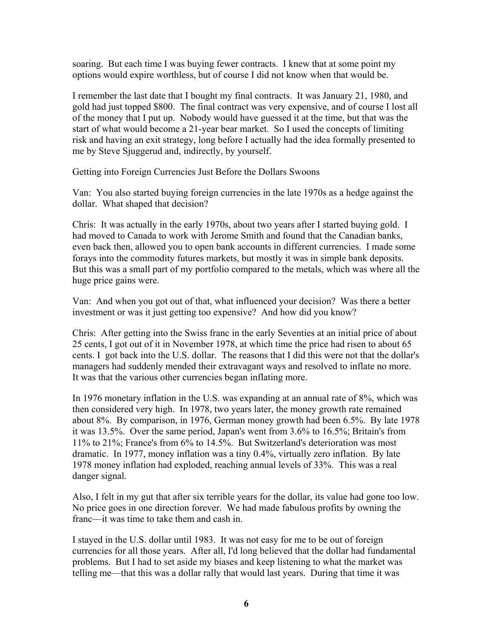soaring. But each time I was buying fewer contracts. I knew that at some point my options would expire worthless, but of course I did not know when that would be.

I remember the last date that I bought my final contracts. It was January 21, 1980, and gold had just topped \$800. The final contract was very expensive, and of course I lost all of the money that I put up. Nobody would have guessed it at the time, but that was the start of what would become a 21-year bear market. So I used the concepts of limiting risk and having an exit strategy, long before I actually had the idea formally presented to me by Steve Sjuggerud and, indirectly, by yourself.

Getting into Foreign Currencies Just Before the Dollars Swoons

Van: You also started buying foreign currencies in the late 1970s as a hedge against the dollar. What shaped that decision?

Chris: It was actually in the early 1970s, about two years after I started buying gold. I had moved to Canada to work with Jerome Smith and found that the Canadian banks, even back then, allowed you to open bank accounts in different currencies. I made some forays into the commodity futures markets, but mostly it was in simple bank deposits. But this was a small part of my portfolio compared to the metals, which was where all the huge price gains were.

Van: And when you got out of that, what influenced your decision? Was there a better investment or was it just getting too expensive? And how did you know?

Chris: After getting into the Swiss franc in the early Seventies at an initial price of about 25 cents, I got out of it in November 1978, at which time the price had risen to about 65 cents. I got back into the U.S. dollar. The reasons that I did this were not that the dollar's managers had suddenly mended their extravagant ways and resolved to inflate no more. It was that the various other currencies began inflating more.

In 1976 monetary inflation in the U.S. was expanding at an annual rate of 8%, which was then considered very high. In 1978, two years later, the money growth rate remained about 8%. By comparison, in 1976, German money growth had been 6.5%. By late 1978 it was 13.5%. Over the same period, Japan's went from 3.6% to 16.5%; Britain's from 11% to 21%; France's from 6% to 14.5%. But Switzerland's deterioration was most dramatic. In 1977, money inflation was a tiny 0.4%, virtually zero inflation. By late 1978 money inflation had exploded, reaching annual levels of 33%. This was a real danger signal.

Also, I felt in my gut that after six terrible years for the dollar, its value had gone too low. No price goes in one direction forever. We had made fabulous profits by owning the franc—it was time to take them and cash in.

I stayed in the U.S. dollar until 1983. It was not easy for me to be out of foreign currencies for all those years. After all, I'd long believed that the dollar had fundamental problems. But I had to set aside my biases and keep listening to what the market was telling me—that this was a dollar rally that would last years. During that time it was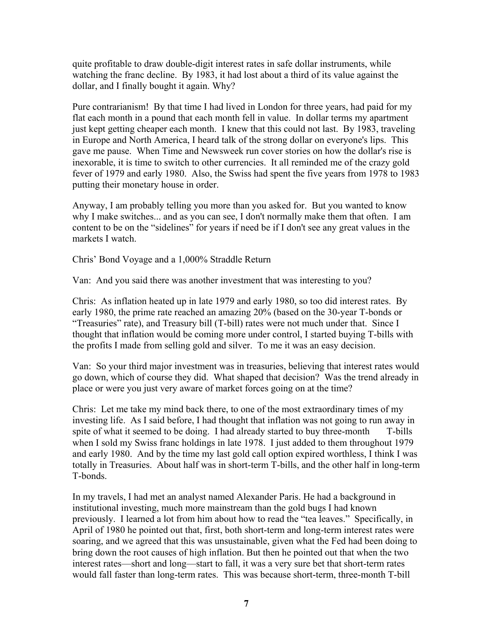quite profitable to draw double-digit interest rates in safe dollar instruments, while watching the franc decline. By 1983, it had lost about a third of its value against the dollar, and I finally bought it again. Why?

Pure contrarianism! By that time I had lived in London for three years, had paid for my flat each month in a pound that each month fell in value. In dollar terms my apartment just kept getting cheaper each month. I knew that this could not last. By 1983, traveling in Europe and North America, I heard talk of the strong dollar on everyone's lips. This gave me pause. When Time and Newsweek run cover stories on how the dollar's rise is inexorable, it is time to switch to other currencies. It all reminded me of the crazy gold fever of 1979 and early 1980. Also, the Swiss had spent the five years from 1978 to 1983 putting their monetary house in order.

Anyway, I am probably telling you more than you asked for. But you wanted to know why I make switches... and as you can see, I don't normally make them that often. I am content to be on the "sidelines" for years if need be if I don't see any great values in the markets I watch.

Chris' Bond Voyage and a 1,000% Straddle Return

Van: And you said there was another investment that was interesting to you?

Chris: As inflation heated up in late 1979 and early 1980, so too did interest rates. By early 1980, the prime rate reached an amazing 20% (based on the 30-year T-bonds or "Treasuries" rate), and Treasury bill (T-bill) rates were not much under that. Since I thought that inflation would be coming more under control, I started buying T-bills with the profits I made from selling gold and silver. To me it was an easy decision.

Van: So your third major investment was in treasuries, believing that interest rates would go down, which of course they did. What shaped that decision? Was the trend already in place or were you just very aware of market forces going on at the time?

Chris: Let me take my mind back there, to one of the most extraordinary times of my investing life. As I said before, I had thought that inflation was not going to run away in spite of what it seemed to be doing. I had already started to buy three-month T-bills when I sold my Swiss franc holdings in late 1978. I just added to them throughout 1979 and early 1980. And by the time my last gold call option expired worthless, I think I was totally in Treasuries. About half was in short-term T-bills, and the other half in long-term T-bonds.

In my travels, I had met an analyst named Alexander Paris. He had a background in institutional investing, much more mainstream than the gold bugs I had known previously. I learned a lot from him about how to read the "tea leaves." Specifically, in April of 1980 he pointed out that, first, both short-term and long-term interest rates were soaring, and we agreed that this was unsustainable, given what the Fed had been doing to bring down the root causes of high inflation. But then he pointed out that when the two interest rates—short and long—start to fall, it was a very sure bet that short-term rates would fall faster than long-term rates. This was because short-term, three-month T-bill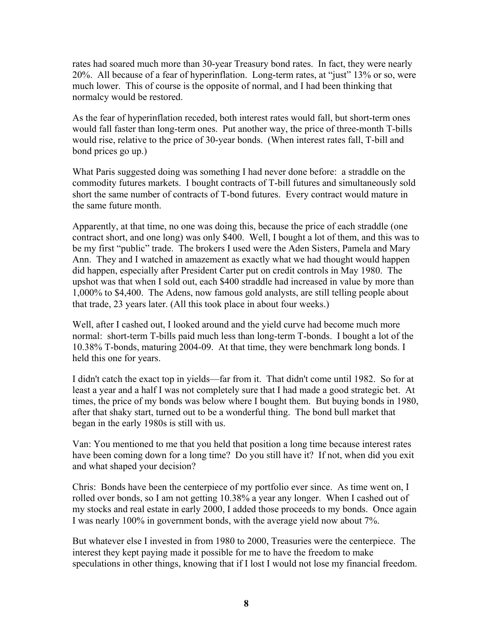rates had soared much more than 30-year Treasury bond rates. In fact, they were nearly 20%. All because of a fear of hyperinflation. Long-term rates, at "just" 13% or so, were much lower. This of course is the opposite of normal, and I had been thinking that normalcy would be restored.

As the fear of hyperinflation receded, both interest rates would fall, but short-term ones would fall faster than long-term ones. Put another way, the price of three-month T-bills would rise, relative to the price of 30-year bonds. (When interest rates fall, T-bill and bond prices go up.)

What Paris suggested doing was something I had never done before: a straddle on the commodity futures markets. I bought contracts of T-bill futures and simultaneously sold short the same number of contracts of T-bond futures. Every contract would mature in the same future month.

Apparently, at that time, no one was doing this, because the price of each straddle (one contract short, and one long) was only \$400. Well, I bought a lot of them, and this was to be my first "public" trade. The brokers I used were the Aden Sisters, Pamela and Mary Ann. They and I watched in amazement as exactly what we had thought would happen did happen, especially after President Carter put on credit controls in May 1980. The upshot was that when I sold out, each \$400 straddle had increased in value by more than 1,000% to \$4,400. The Adens, now famous gold analysts, are still telling people about that trade, 23 years later. (All this took place in about four weeks.)

Well, after I cashed out, I looked around and the yield curve had become much more normal: short-term T-bills paid much less than long-term T-bonds. I bought a lot of the 10.38% T-bonds, maturing 2004-09. At that time, they were benchmark long bonds. I held this one for years.

I didn't catch the exact top in yields—far from it. That didn't come until 1982. So for at least a year and a half I was not completely sure that I had made a good strategic bet. At times, the price of my bonds was below where I bought them. But buying bonds in 1980, after that shaky start, turned out to be a wonderful thing. The bond bull market that began in the early 1980s is still with us.

Van: You mentioned to me that you held that position a long time because interest rates have been coming down for a long time? Do you still have it? If not, when did you exit and what shaped your decision?

Chris: Bonds have been the centerpiece of my portfolio ever since. As time went on, I rolled over bonds, so I am not getting 10.38% a year any longer. When I cashed out of my stocks and real estate in early 2000, I added those proceeds to my bonds. Once again I was nearly 100% in government bonds, with the average yield now about 7%.

But whatever else I invested in from 1980 to 2000, Treasuries were the centerpiece. The interest they kept paying made it possible for me to have the freedom to make speculations in other things, knowing that if I lost I would not lose my financial freedom.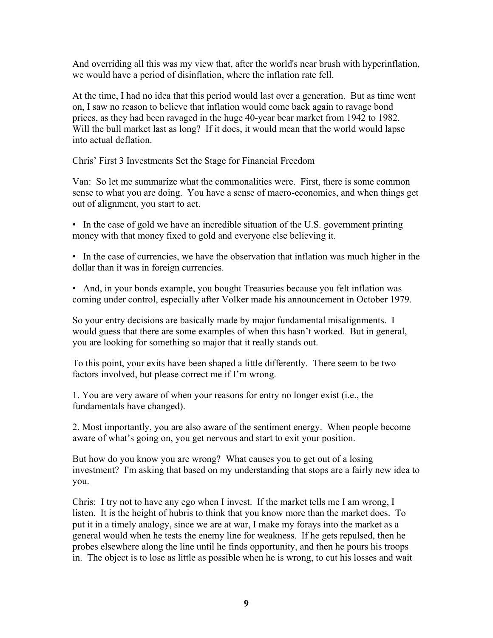And overriding all this was my view that, after the world's near brush with hyperinflation, we would have a period of disinflation, where the inflation rate fell.

At the time, I had no idea that this period would last over a generation. But as time went on, I saw no reason to believe that inflation would come back again to ravage bond prices, as they had been ravaged in the huge 40-year bear market from 1942 to 1982. Will the bull market last as long? If it does, it would mean that the world would lapse into actual deflation.

Chris' First 3 Investments Set the Stage for Financial Freedom

Van: So let me summarize what the commonalities were. First, there is some common sense to what you are doing. You have a sense of macro-economics, and when things get out of alignment, you start to act.

• In the case of gold we have an incredible situation of the U.S. government printing money with that money fixed to gold and everyone else believing it.

• In the case of currencies, we have the observation that inflation was much higher in the dollar than it was in foreign currencies.

• And, in your bonds example, you bought Treasuries because you felt inflation was coming under control, especially after Volker made his announcement in October 1979.

So your entry decisions are basically made by major fundamental misalignments. I would guess that there are some examples of when this hasn't worked. But in general, you are looking for something so major that it really stands out.

To this point, your exits have been shaped a little differently. There seem to be two factors involved, but please correct me if I'm wrong.

1. You are very aware of when your reasons for entry no longer exist (i.e., the fundamentals have changed).

2. Most importantly, you are also aware of the sentiment energy. When people become aware of what's going on, you get nervous and start to exit your position.

But how do you know you are wrong? What causes you to get out of a losing investment? I'm asking that based on my understanding that stops are a fairly new idea to you.

Chris: I try not to have any ego when I invest. If the market tells me I am wrong, I listen. It is the height of hubris to think that you know more than the market does. To put it in a timely analogy, since we are at war, I make my forays into the market as a general would when he tests the enemy line for weakness. If he gets repulsed, then he probes elsewhere along the line until he finds opportunity, and then he pours his troops in. The object is to lose as little as possible when he is wrong, to cut his losses and wait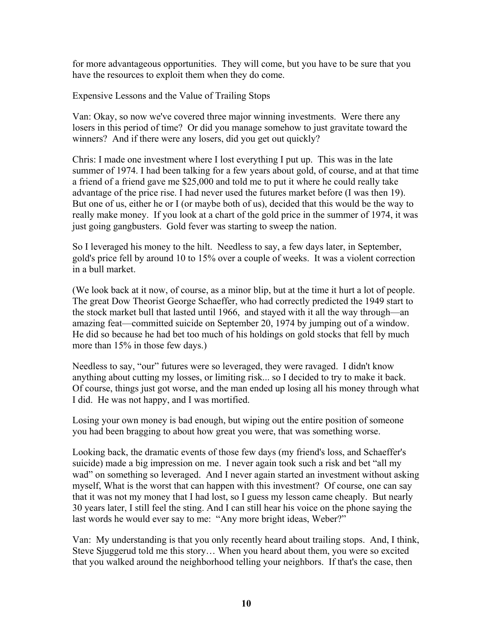for more advantageous opportunities. They will come, but you have to be sure that you have the resources to exploit them when they do come.

Expensive Lessons and the Value of Trailing Stops

Van: Okay, so now we've covered three major winning investments. Were there any losers in this period of time? Or did you manage somehow to just gravitate toward the winners? And if there were any losers, did you get out quickly?

Chris: I made one investment where I lost everything I put up. This was in the late summer of 1974. I had been talking for a few years about gold, of course, and at that time a friend of a friend gave me \$25,000 and told me to put it where he could really take advantage of the price rise. I had never used the futures market before (I was then 19). But one of us, either he or I (or maybe both of us), decided that this would be the way to really make money. If you look at a chart of the gold price in the summer of 1974, it was just going gangbusters. Gold fever was starting to sweep the nation.

So I leveraged his money to the hilt. Needless to say, a few days later, in September, gold's price fell by around 10 to 15% over a couple of weeks. It was a violent correction in a bull market.

(We look back at it now, of course, as a minor blip, but at the time it hurt a lot of people. The great Dow Theorist George Schaeffer, who had correctly predicted the 1949 start to the stock market bull that lasted until 1966, and stayed with it all the way through—an amazing feat—committed suicide on September 20, 1974 by jumping out of a window. He did so because he had bet too much of his holdings on gold stocks that fell by much more than 15% in those few days.)

Needless to say, "our" futures were so leveraged, they were ravaged. I didn't know anything about cutting my losses, or limiting risk... so I decided to try to make it back. Of course, things just got worse, and the man ended up losing all his money through what I did. He was not happy, and I was mortified.

Losing your own money is bad enough, but wiping out the entire position of someone you had been bragging to about how great you were, that was something worse.

Looking back, the dramatic events of those few days (my friend's loss, and Schaeffer's suicide) made a big impression on me. I never again took such a risk and bet "all my wad" on something so leveraged. And I never again started an investment without asking myself, What is the worst that can happen with this investment? Of course, one can say that it was not my money that I had lost, so I guess my lesson came cheaply. But nearly 30 years later, I still feel the sting. And I can still hear his voice on the phone saying the last words he would ever say to me: "Any more bright ideas, Weber?"

Van: My understanding is that you only recently heard about trailing stops. And, I think, Steve Sjuggerud told me this story… When you heard about them, you were so excited that you walked around the neighborhood telling your neighbors. If that's the case, then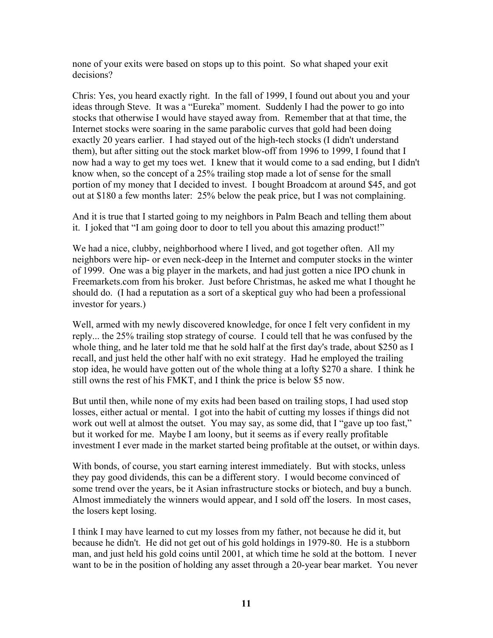none of your exits were based on stops up to this point. So what shaped your exit decisions?

Chris: Yes, you heard exactly right. In the fall of 1999, I found out about you and your ideas through Steve. It was a "Eureka" moment. Suddenly I had the power to go into stocks that otherwise I would have stayed away from. Remember that at that time, the Internet stocks were soaring in the same parabolic curves that gold had been doing exactly 20 years earlier. I had stayed out of the high-tech stocks (I didn't understand them), but after sitting out the stock market blow-off from 1996 to 1999, I found that I now had a way to get my toes wet. I knew that it would come to a sad ending, but I didn't know when, so the concept of a 25% trailing stop made a lot of sense for the small portion of my money that I decided to invest. I bought Broadcom at around \$45, and got out at \$180 a few months later: 25% below the peak price, but I was not complaining.

And it is true that I started going to my neighbors in Palm Beach and telling them about it. I joked that "I am going door to door to tell you about this amazing product!"

We had a nice, clubby, neighborhood where I lived, and got together often. All my neighbors were hip- or even neck-deep in the Internet and computer stocks in the winter of 1999. One was a big player in the markets, and had just gotten a nice IPO chunk in Freemarkets.com from his broker. Just before Christmas, he asked me what I thought he should do. (I had a reputation as a sort of a skeptical guy who had been a professional investor for years.)

Well, armed with my newly discovered knowledge, for once I felt very confident in my reply... the 25% trailing stop strategy of course. I could tell that he was confused by the whole thing, and he later told me that he sold half at the first day's trade, about \$250 as I recall, and just held the other half with no exit strategy. Had he employed the trailing stop idea, he would have gotten out of the whole thing at a lofty \$270 a share. I think he still owns the rest of his FMKT, and I think the price is below \$5 now.

But until then, while none of my exits had been based on trailing stops, I had used stop losses, either actual or mental. I got into the habit of cutting my losses if things did not work out well at almost the outset. You may say, as some did, that I "gave up too fast," but it worked for me. Maybe I am loony, but it seems as if every really profitable investment I ever made in the market started being profitable at the outset, or within days.

With bonds, of course, you start earning interest immediately. But with stocks, unless they pay good dividends, this can be a different story. I would become convinced of some trend over the years, be it Asian infrastructure stocks or biotech, and buy a bunch. Almost immediately the winners would appear, and I sold off the losers. In most cases, the losers kept losing.

I think I may have learned to cut my losses from my father, not because he did it, but because he didn't. He did not get out of his gold holdings in 1979-80. He is a stubborn man, and just held his gold coins until 2001, at which time he sold at the bottom. I never want to be in the position of holding any asset through a 20-year bear market. You never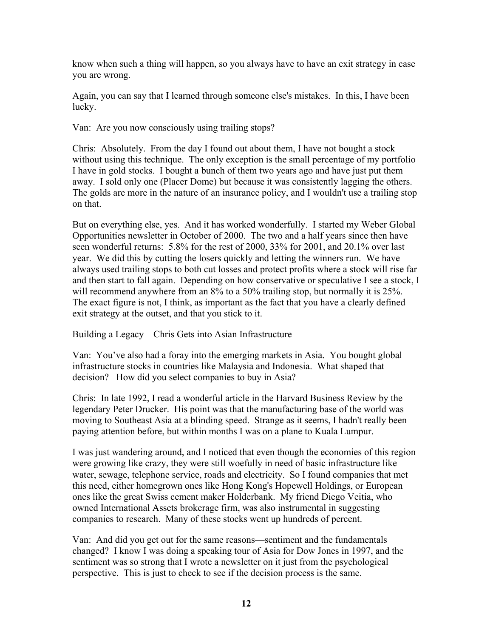know when such a thing will happen, so you always have to have an exit strategy in case you are wrong.

Again, you can say that I learned through someone else's mistakes. In this, I have been lucky.

Van: Are you now consciously using trailing stops?

Chris: Absolutely. From the day I found out about them, I have not bought a stock without using this technique. The only exception is the small percentage of my portfolio I have in gold stocks. I bought a bunch of them two years ago and have just put them away. I sold only one (Placer Dome) but because it was consistently lagging the others. The golds are more in the nature of an insurance policy, and I wouldn't use a trailing stop on that.

But on everything else, yes. And it has worked wonderfully. I started my Weber Global Opportunities newsletter in October of 2000. The two and a half years since then have seen wonderful returns: 5.8% for the rest of 2000, 33% for 2001, and 20.1% over last year. We did this by cutting the losers quickly and letting the winners run. We have always used trailing stops to both cut losses and protect profits where a stock will rise far and then start to fall again. Depending on how conservative or speculative I see a stock, I will recommend anywhere from an 8% to a 50% trailing stop, but normally it is 25%. The exact figure is not, I think, as important as the fact that you have a clearly defined exit strategy at the outset, and that you stick to it.

Building a Legacy—Chris Gets into Asian Infrastructure

Van: You've also had a foray into the emerging markets in Asia. You bought global infrastructure stocks in countries like Malaysia and Indonesia. What shaped that decision? How did you select companies to buy in Asia?

Chris: In late 1992, I read a wonderful article in the Harvard Business Review by the legendary Peter Drucker. His point was that the manufacturing base of the world was moving to Southeast Asia at a blinding speed. Strange as it seems, I hadn't really been paying attention before, but within months I was on a plane to Kuala Lumpur.

I was just wandering around, and I noticed that even though the economies of this region were growing like crazy, they were still woefully in need of basic infrastructure like water, sewage, telephone service, roads and electricity. So I found companies that met this need, either homegrown ones like Hong Kong's Hopewell Holdings, or European ones like the great Swiss cement maker Holderbank. My friend Diego Veitia, who owned International Assets brokerage firm, was also instrumental in suggesting companies to research. Many of these stocks went up hundreds of percent.

Van: And did you get out for the same reasons—sentiment and the fundamentals changed? I know I was doing a speaking tour of Asia for Dow Jones in 1997, and the sentiment was so strong that I wrote a newsletter on it just from the psychological perspective. This is just to check to see if the decision process is the same.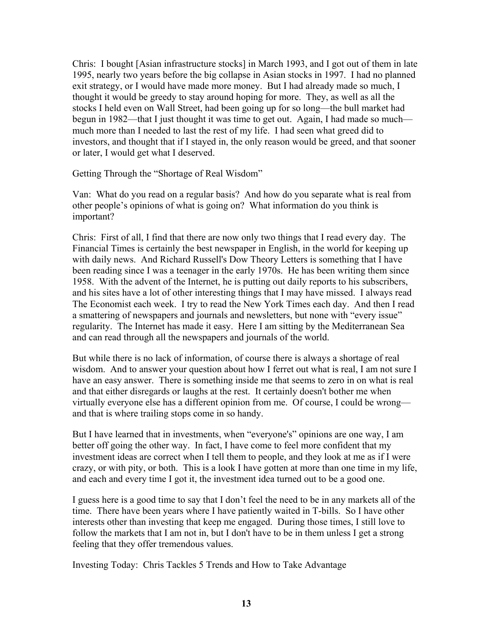Chris: I bought [Asian infrastructure stocks] in March 1993, and I got out of them in late 1995, nearly two years before the big collapse in Asian stocks in 1997. I had no planned exit strategy, or I would have made more money. But I had already made so much, I thought it would be greedy to stay around hoping for more. They, as well as all the stocks I held even on Wall Street, had been going up for so long—the bull market had begun in 1982—that I just thought it was time to get out. Again, I had made so much much more than I needed to last the rest of my life. I had seen what greed did to investors, and thought that if I stayed in, the only reason would be greed, and that sooner or later, I would get what I deserved.

Getting Through the "Shortage of Real Wisdom"

Van: What do you read on a regular basis? And how do you separate what is real from other people's opinions of what is going on? What information do you think is important?

Chris: First of all, I find that there are now only two things that I read every day. The Financial Times is certainly the best newspaper in English, in the world for keeping up with daily news. And Richard Russell's Dow Theory Letters is something that I have been reading since I was a teenager in the early 1970s. He has been writing them since 1958. With the advent of the Internet, he is putting out daily reports to his subscribers, and his sites have a lot of other interesting things that I may have missed. I always read The Economist each week. I try to read the New York Times each day. And then I read a smattering of newspapers and journals and newsletters, but none with "every issue" regularity. The Internet has made it easy. Here I am sitting by the Mediterranean Sea and can read through all the newspapers and journals of the world.

But while there is no lack of information, of course there is always a shortage of real wisdom. And to answer your question about how I ferret out what is real, I am not sure I have an easy answer. There is something inside me that seems to zero in on what is real and that either disregards or laughs at the rest. It certainly doesn't bother me when virtually everyone else has a different opinion from me. Of course, I could be wrong and that is where trailing stops come in so handy.

But I have learned that in investments, when "everyone's" opinions are one way, I am better off going the other way. In fact, I have come to feel more confident that my investment ideas are correct when I tell them to people, and they look at me as if I were crazy, or with pity, or both. This is a look I have gotten at more than one time in my life, and each and every time I got it, the investment idea turned out to be a good one.

I guess here is a good time to say that I don't feel the need to be in any markets all of the time. There have been years where I have patiently waited in T-bills. So I have other interests other than investing that keep me engaged. During those times, I still love to follow the markets that I am not in, but I don't have to be in them unless I get a strong feeling that they offer tremendous values.

Investing Today: Chris Tackles 5 Trends and How to Take Advantage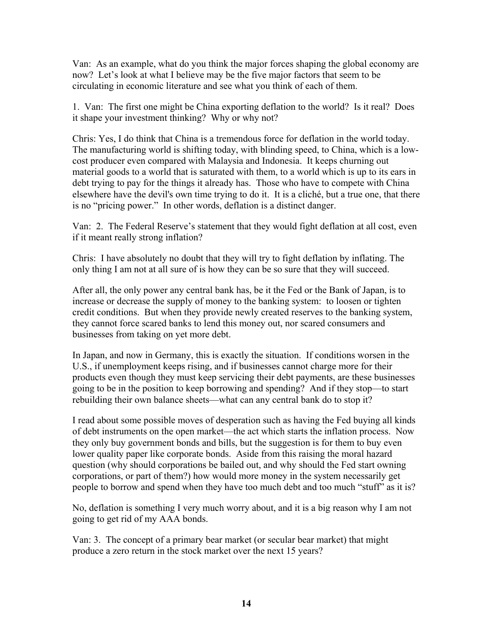Van: As an example, what do you think the major forces shaping the global economy are now? Let's look at what I believe may be the five major factors that seem to be circulating in economic literature and see what you think of each of them.

1. Van: The first one might be China exporting deflation to the world? Is it real? Does it shape your investment thinking? Why or why not?

Chris: Yes, I do think that China is a tremendous force for deflation in the world today. The manufacturing world is shifting today, with blinding speed, to China, which is a lowcost producer even compared with Malaysia and Indonesia. It keeps churning out material goods to a world that is saturated with them, to a world which is up to its ears in debt trying to pay for the things it already has. Those who have to compete with China elsewhere have the devil's own time trying to do it. It is a cliché, but a true one, that there is no "pricing power." In other words, deflation is a distinct danger.

Van: 2. The Federal Reserve's statement that they would fight deflation at all cost, even if it meant really strong inflation?

Chris: I have absolutely no doubt that they will try to fight deflation by inflating. The only thing I am not at all sure of is how they can be so sure that they will succeed.

After all, the only power any central bank has, be it the Fed or the Bank of Japan, is to increase or decrease the supply of money to the banking system: to loosen or tighten credit conditions. But when they provide newly created reserves to the banking system, they cannot force scared banks to lend this money out, nor scared consumers and businesses from taking on yet more debt.

In Japan, and now in Germany, this is exactly the situation. If conditions worsen in the U.S., if unemployment keeps rising, and if businesses cannot charge more for their products even though they must keep servicing their debt payments, are these businesses going to be in the position to keep borrowing and spending? And if they stop—to start rebuilding their own balance sheets—what can any central bank do to stop it?

I read about some possible moves of desperation such as having the Fed buying all kinds of debt instruments on the open market—the act which starts the inflation process. Now they only buy government bonds and bills, but the suggestion is for them to buy even lower quality paper like corporate bonds. Aside from this raising the moral hazard question (why should corporations be bailed out, and why should the Fed start owning corporations, or part of them?) how would more money in the system necessarily get people to borrow and spend when they have too much debt and too much "stuff" as it is?

No, deflation is something I very much worry about, and it is a big reason why I am not going to get rid of my AAA bonds.

Van: 3. The concept of a primary bear market (or secular bear market) that might produce a zero return in the stock market over the next 15 years?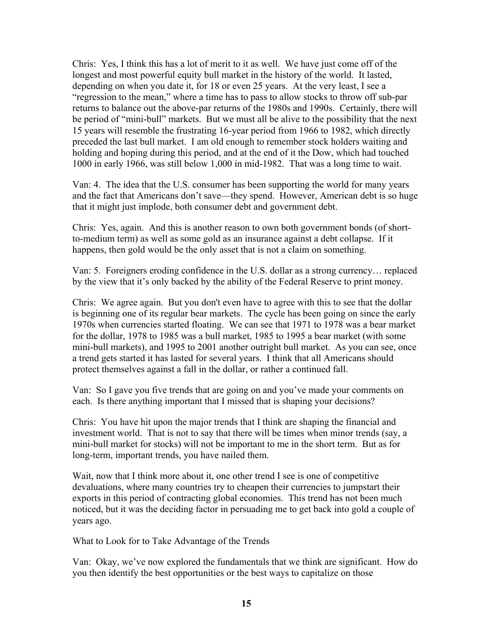Chris: Yes, I think this has a lot of merit to it as well. We have just come off of the longest and most powerful equity bull market in the history of the world. It lasted, depending on when you date it, for 18 or even 25 years. At the very least, I see a "regression to the mean," where a time has to pass to allow stocks to throw off sub-par returns to balance out the above-par returns of the 1980s and 1990s. Certainly, there will be period of "mini-bull" markets. But we must all be alive to the possibility that the next 15 years will resemble the frustrating 16-year period from 1966 to 1982, which directly preceded the last bull market. I am old enough to remember stock holders waiting and holding and hoping during this period, and at the end of it the Dow, which had touched 1000 in early 1966, was still below 1,000 in mid-1982. That was a long time to wait.

Van: 4. The idea that the U.S. consumer has been supporting the world for many years and the fact that Americans don't save—they spend. However, American debt is so huge that it might just implode, both consumer debt and government debt.

Chris: Yes, again. And this is another reason to own both government bonds (of shortto-medium term) as well as some gold as an insurance against a debt collapse. If it happens, then gold would be the only asset that is not a claim on something.

Van: 5. Foreigners eroding confidence in the U.S. dollar as a strong currency… replaced by the view that it's only backed by the ability of the Federal Reserve to print money.

Chris: We agree again. But you don't even have to agree with this to see that the dollar is beginning one of its regular bear markets. The cycle has been going on since the early 1970s when currencies started floating. We can see that 1971 to 1978 was a bear market for the dollar, 1978 to 1985 was a bull market, 1985 to 1995 a bear market (with some mini-bull markets), and 1995 to 2001 another outright bull market. As you can see, once a trend gets started it has lasted for several years. I think that all Americans should protect themselves against a fall in the dollar, or rather a continued fall.

Van: So I gave you five trends that are going on and you've made your comments on each. Is there anything important that I missed that is shaping your decisions?

Chris: You have hit upon the major trends that I think are shaping the financial and investment world. That is not to say that there will be times when minor trends (say, a mini-bull market for stocks) will not be important to me in the short term. But as for long-term, important trends, you have nailed them.

Wait, now that I think more about it, one other trend I see is one of competitive devaluations, where many countries try to cheapen their currencies to jumpstart their exports in this period of contracting global economies. This trend has not been much noticed, but it was the deciding factor in persuading me to get back into gold a couple of years ago.

What to Look for to Take Advantage of the Trends

Van: Okay, we've now explored the fundamentals that we think are significant. How do you then identify the best opportunities or the best ways to capitalize on those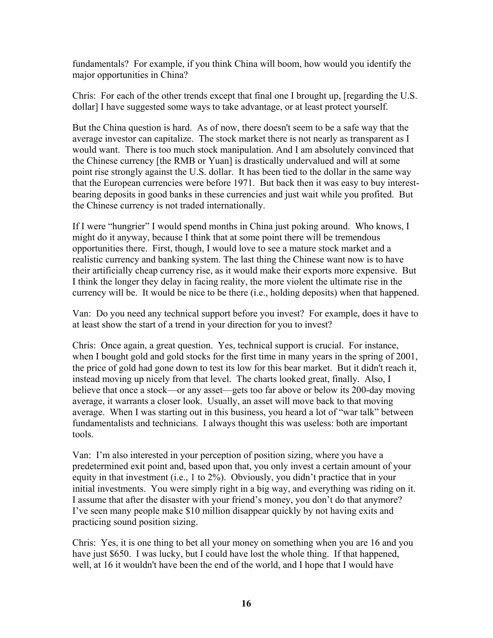fundamentals? For example, if you think China will boom, how would you identify the major opportunities in China?

Chris: For each of the other trends except that final one I brought up, [regarding the U.S. dollar] I have suggested some ways to take advantage, or at least protect yourself.

But the China question is hard. As of now, there doesn't seem to be a safe way that the average investor can capitalize. The stock market there is not nearly as transparent as I would want. There is too much stock manipulation. And I am absolutely convinced that the Chinese currency [the RMB or Yuan] is drastically undervalued and will at some point rise strongly against the U.S. dollar. It has been tied to the dollar in the same way that the European currencies were before 1971. But back then it was easy to buy interestbearing deposits in good banks in these currencies and just wait while you profited. But the Chinese currency is not traded internationally.

If I were "hungrier" I would spend months in China just poking around. Who knows, I might do it anyway, because I think that at some point there will be tremendous opportunities there. First, though, I would love to see a mature stock market and a realistic currency and banking system. The last thing the Chinese want now is to have their artificially cheap currency rise, as it would make their exports more expensive. But I think the longer they delay in facing reality, the more violent the ultimate rise in the currency will be. It would be nice to be there (i.e., holding deposits) when that happened.

Van: Do you need any technical support before you invest? For example, does it have to at least show the start of a trend in your direction for you to invest?

Chris: Once again, a great question. Yes, technical support is crucial. For instance, when I bought gold and gold stocks for the first time in many years in the spring of 2001, the price of gold had gone down to test its low for this bear market. But it didn't reach it, instead moving up nicely from that level. The charts looked great, finally. Also, I believe that once a stock—or any asset—gets too far above or below its 200-day moving average, it warrants a closer look. Usually, an asset will move back to that moving average. When I was starting out in this business, you heard a lot of "war talk" between fundamentalists and technicians. I always thought this was useless: both are important tools.

Van: I'm also interested in your perception of position sizing, where you have a predetermined exit point and, based upon that, you only invest a certain amount of your equity in that investment (i.e., 1 to 2%). Obviously, you didn't practice that in your initial investments. You were simply right in a big way, and everything was riding on it. I assume that after the disaster with your friend's money, you don't do that anymore? I've seen many people make \$10 million disappear quickly by not having exits and practicing sound position sizing.

Chris: Yes, it is one thing to bet all your money on something when you are 16 and you have just \$650. I was lucky, but I could have lost the whole thing. If that happened, well, at 16 it wouldn't have been the end of the world, and I hope that I would have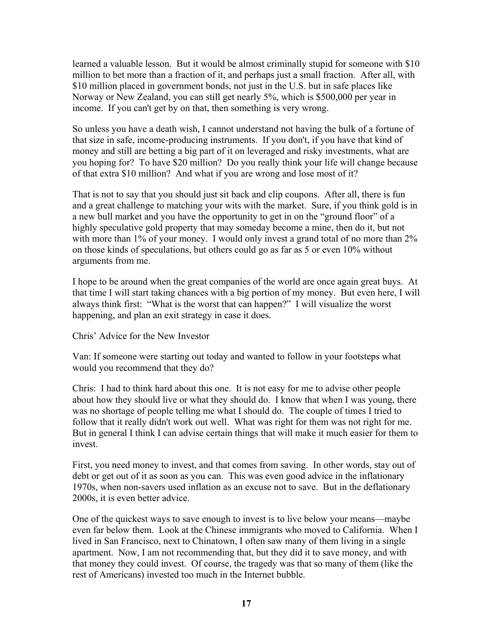learned a valuable lesson. But it would be almost criminally stupid for someone with \$10 million to bet more than a fraction of it, and perhaps just a small fraction. After all, with \$10 million placed in government bonds, not just in the U.S. but in safe places like Norway or New Zealand, you can still get nearly 5%, which is \$500,000 per year in income. If you can't get by on that, then something is very wrong.

So unless you have a death wish, I cannot understand not having the bulk of a fortune of that size in safe, income-producing instruments. If you don't, if you have that kind of money and still are betting a big part of it on leveraged and risky investments, what are you hoping for? To have \$20 million? Do you really think your life will change because of that extra \$10 million? And what if you are wrong and lose most of it?

That is not to say that you should just sit back and clip coupons. After all, there is fun and a great challenge to matching your wits with the market. Sure, if you think gold is in a new bull market and you have the opportunity to get in on the "ground floor" of a highly speculative gold property that may someday become a mine, then do it, but not with more than 1% of your money. I would only invest a grand total of no more than 2% on those kinds of speculations, but others could go as far as 5 or even 10% without arguments from me.

I hope to be around when the great companies of the world are once again great buys. At that time I will start taking chances with a big portion of my money. But even here, I will always think first: "What is the worst that can happen?" I will visualize the worst happening, and plan an exit strategy in case it does.

Chris' Advice for the New Investor

Van: If someone were starting out today and wanted to follow in your footsteps what would you recommend that they do?

Chris: I had to think hard about this one. It is not easy for me to advise other people about how they should live or what they should do. I know that when I was young, there was no shortage of people telling me what I should do. The couple of times I tried to follow that it really didn't work out well. What was right for them was not right for me. But in general I think I can advise certain things that will make it much easier for them to invest.

First, you need money to invest, and that comes from saving. In other words, stay out of debt or get out of it as soon as you can. This was even good advice in the inflationary 1970s, when non-savers used inflation as an excuse not to save. But in the deflationary 2000s, it is even better advice.

One of the quickest ways to save enough to invest is to live below your means—maybe even far below them. Look at the Chinese immigrants who moved to California. When I lived in San Francisco, next to Chinatown, I often saw many of them living in a single apartment. Now, I am not recommending that, but they did it to save money, and with that money they could invest. Of course, the tragedy was that so many of them (like the rest of Americans) invested too much in the Internet bubble.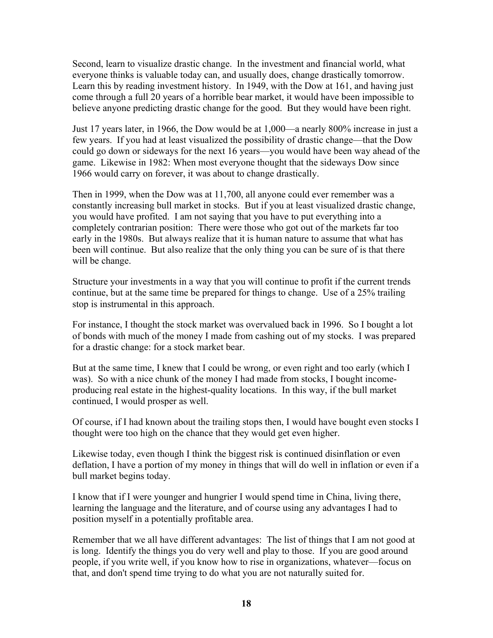Second, learn to visualize drastic change. In the investment and financial world, what everyone thinks is valuable today can, and usually does, change drastically tomorrow. Learn this by reading investment history. In 1949, with the Dow at 161, and having just come through a full 20 years of a horrible bear market, it would have been impossible to believe anyone predicting drastic change for the good. But they would have been right.

Just 17 years later, in 1966, the Dow would be at 1,000—a nearly 800% increase in just a few years. If you had at least visualized the possibility of drastic change—that the Dow could go down or sideways for the next 16 years—you would have been way ahead of the game. Likewise in 1982: When most everyone thought that the sideways Dow since 1966 would carry on forever, it was about to change drastically.

Then in 1999, when the Dow was at 11,700, all anyone could ever remember was a constantly increasing bull market in stocks. But if you at least visualized drastic change, you would have profited. I am not saying that you have to put everything into a completely contrarian position: There were those who got out of the markets far too early in the 1980s. But always realize that it is human nature to assume that what has been will continue. But also realize that the only thing you can be sure of is that there will be change.

Structure your investments in a way that you will continue to profit if the current trends continue, but at the same time be prepared for things to change. Use of a 25% trailing stop is instrumental in this approach.

For instance, I thought the stock market was overvalued back in 1996. So I bought a lot of bonds with much of the money I made from cashing out of my stocks. I was prepared for a drastic change: for a stock market bear.

But at the same time, I knew that I could be wrong, or even right and too early (which I was). So with a nice chunk of the money I had made from stocks, I bought incomeproducing real estate in the highest-quality locations. In this way, if the bull market continued, I would prosper as well.

Of course, if I had known about the trailing stops then, I would have bought even stocks I thought were too high on the chance that they would get even higher.

Likewise today, even though I think the biggest risk is continued disinflation or even deflation, I have a portion of my money in things that will do well in inflation or even if a bull market begins today.

I know that if I were younger and hungrier I would spend time in China, living there, learning the language and the literature, and of course using any advantages I had to position myself in a potentially profitable area.

Remember that we all have different advantages: The list of things that I am not good at is long. Identify the things you do very well and play to those. If you are good around people, if you write well, if you know how to rise in organizations, whatever—focus on that, and don't spend time trying to do what you are not naturally suited for.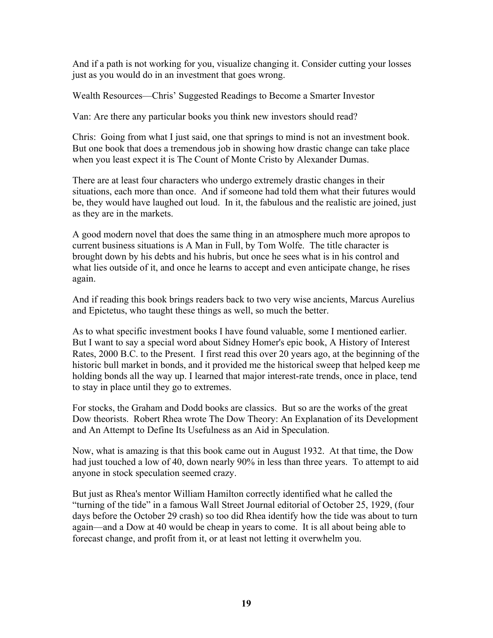And if a path is not working for you, visualize changing it. Consider cutting your losses just as you would do in an investment that goes wrong.

Wealth Resources—Chris' Suggested Readings to Become a Smarter Investor

Van: Are there any particular books you think new investors should read?

Chris: Going from what I just said, one that springs to mind is not an investment book. But one book that does a tremendous job in showing how drastic change can take place when you least expect it is The Count of Monte Cristo by Alexander Dumas.

There are at least four characters who undergo extremely drastic changes in their situations, each more than once. And if someone had told them what their futures would be, they would have laughed out loud. In it, the fabulous and the realistic are joined, just as they are in the markets.

A good modern novel that does the same thing in an atmosphere much more apropos to current business situations is A Man in Full, by Tom Wolfe. The title character is brought down by his debts and his hubris, but once he sees what is in his control and what lies outside of it, and once he learns to accept and even anticipate change, he rises again.

And if reading this book brings readers back to two very wise ancients, Marcus Aurelius and Epictetus, who taught these things as well, so much the better.

As to what specific investment books I have found valuable, some I mentioned earlier. But I want to say a special word about Sidney Homer's epic book, A History of Interest Rates, 2000 B.C. to the Present. I first read this over 20 years ago, at the beginning of the historic bull market in bonds, and it provided me the historical sweep that helped keep me holding bonds all the way up. I learned that major interest-rate trends, once in place, tend to stay in place until they go to extremes.

For stocks, the Graham and Dodd books are classics. But so are the works of the great Dow theorists. Robert Rhea wrote The Dow Theory: An Explanation of its Development and An Attempt to Define Its Usefulness as an Aid in Speculation.

Now, what is amazing is that this book came out in August 1932. At that time, the Dow had just touched a low of 40, down nearly 90% in less than three years. To attempt to aid anyone in stock speculation seemed crazy.

But just as Rhea's mentor William Hamilton correctly identified what he called the "turning of the tide" in a famous Wall Street Journal editorial of October 25, 1929, (four days before the October 29 crash) so too did Rhea identify how the tide was about to turn again—and a Dow at 40 would be cheap in years to come. It is all about being able to forecast change, and profit from it, or at least not letting it overwhelm you.